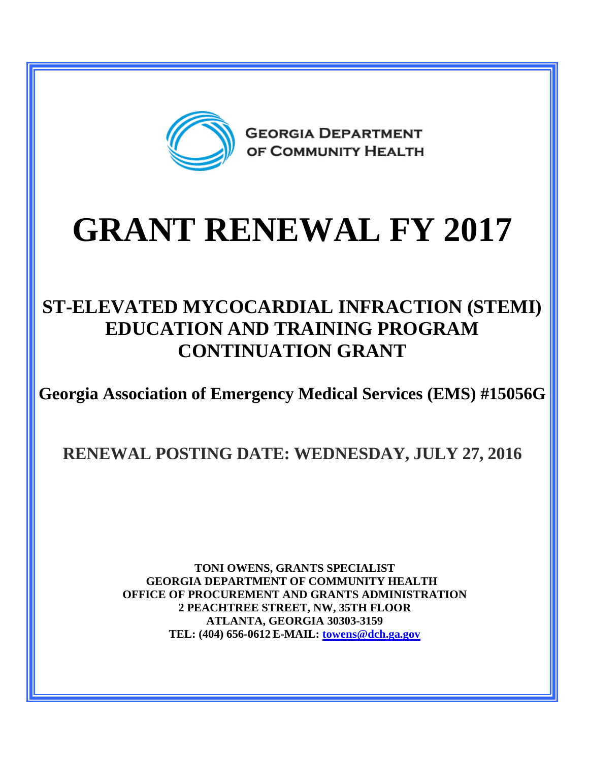

**GEORGIA DEPARTMENT** OF COMMUNITY HEALTH

# **GRANT RENEWAL FY 2017**

## **ST-ELEVATED MYCOCARDIAL INFRACTION (STEMI) EDUCATION AND TRAINING PROGRAM CONTINUATION GRANT**

**Georgia Association of Emergency Medical Services (EMS) #15056G**

**RENEWAL POSTING DATE: WEDNESDAY, JULY 27, 2016**

**TONI OWENS, GRANTS SPECIALIST GEORGIA DEPARTMENT OF COMMUNITY HEALTH OFFICE OF PROCUREMENT AND GRANTS ADMINISTRATION 2 PEACHTREE STREET, NW, 35TH FLOOR ATLANTA, GEORGIA 30303-3159 TEL: (404) 656-0612 E-MAIL: [towens@dch.ga.gov](mailto:towens@dch.ga.gov)**